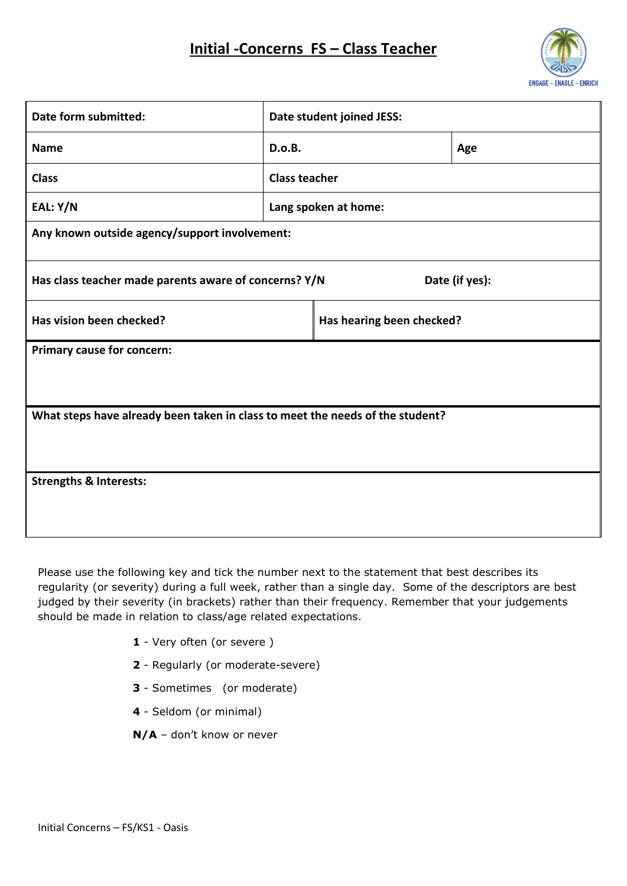# **Initial -Concerns FS – Class Teacher**



| Date form submitted:                                                          | Date student joined JESS: |                      |     |  |  |  |
|-------------------------------------------------------------------------------|---------------------------|----------------------|-----|--|--|--|
| <b>Name</b>                                                                   | D.o.B.                    |                      | Age |  |  |  |
| <b>Class</b>                                                                  | <b>Class teacher</b>      |                      |     |  |  |  |
| EAL: Y/N                                                                      |                           | Lang spoken at home: |     |  |  |  |
| Any known outside agency/support involvement:                                 |                           |                      |     |  |  |  |
| Has class teacher made parents aware of concerns? Y/N<br>Date (if yes):       |                           |                      |     |  |  |  |
| Has vision been checked?                                                      | Has hearing been checked? |                      |     |  |  |  |
| <b>Primary cause for concern:</b>                                             |                           |                      |     |  |  |  |
| What steps have already been taken in class to meet the needs of the student? |                           |                      |     |  |  |  |
| <b>Strengths &amp; Interests:</b>                                             |                           |                      |     |  |  |  |

Please use the following key and tick the number next to the statement that best describes its regularity (or severity) during a full week, rather than a single day. Some of the descriptors are best judged by their severity (in brackets) rather than their frequency. Remember that your judgements should be made in relation to class/age related expectations.

- **1** Very often (or severe )
- **2** Regularly (or moderate-severe)
- **3** Sometimes (or moderate)
- **4** Seldom (or minimal)
- **N/A** don't know or never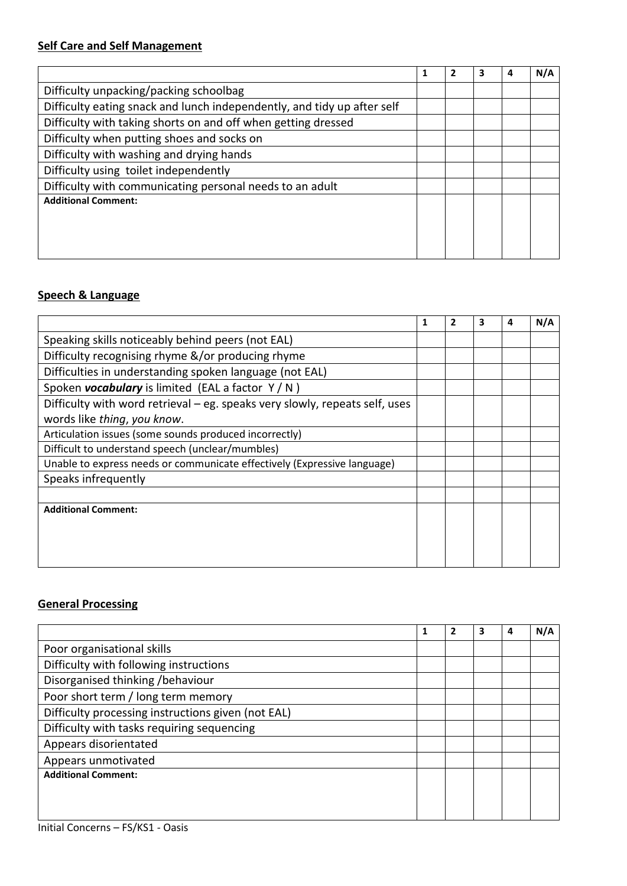# **Self Care and Self Management**

|                                                                         | 1 | 3 | 4 | N/A |
|-------------------------------------------------------------------------|---|---|---|-----|
| Difficulty unpacking/packing schoolbag                                  |   |   |   |     |
| Difficulty eating snack and lunch independently, and tidy up after self |   |   |   |     |
| Difficulty with taking shorts on and off when getting dressed           |   |   |   |     |
| Difficulty when putting shoes and socks on                              |   |   |   |     |
| Difficulty with washing and drying hands                                |   |   |   |     |
| Difficulty using toilet independently                                   |   |   |   |     |
| Difficulty with communicating personal needs to an adult                |   |   |   |     |
| <b>Additional Comment:</b>                                              |   |   |   |     |
|                                                                         |   |   |   |     |
|                                                                         |   |   |   |     |
|                                                                         |   |   |   |     |

# **Speech & Language**

| 1 | 2 | 3 | $\mathbf{a}$ | N/A |
|---|---|---|--------------|-----|
|   |   |   |              |     |
|   |   |   |              |     |
|   |   |   |              |     |
|   |   |   |              |     |
|   |   |   |              |     |
|   |   |   |              |     |
|   |   |   |              |     |
|   |   |   |              |     |
|   |   |   |              |     |
|   |   |   |              |     |
|   |   |   |              |     |
|   |   |   |              |     |
|   |   |   |              |     |
|   |   |   |              |     |
|   |   |   |              |     |
|   |   |   |              |     |

#### **General Processing**

|                                                    |  | з | 4 | N/A |
|----------------------------------------------------|--|---|---|-----|
| Poor organisational skills                         |  |   |   |     |
| Difficulty with following instructions             |  |   |   |     |
| Disorganised thinking /behaviour                   |  |   |   |     |
| Poor short term / long term memory                 |  |   |   |     |
| Difficulty processing instructions given (not EAL) |  |   |   |     |
| Difficulty with tasks requiring sequencing         |  |   |   |     |
| Appears disorientated                              |  |   |   |     |
| Appears unmotivated                                |  |   |   |     |
| <b>Additional Comment:</b>                         |  |   |   |     |
|                                                    |  |   |   |     |
|                                                    |  |   |   |     |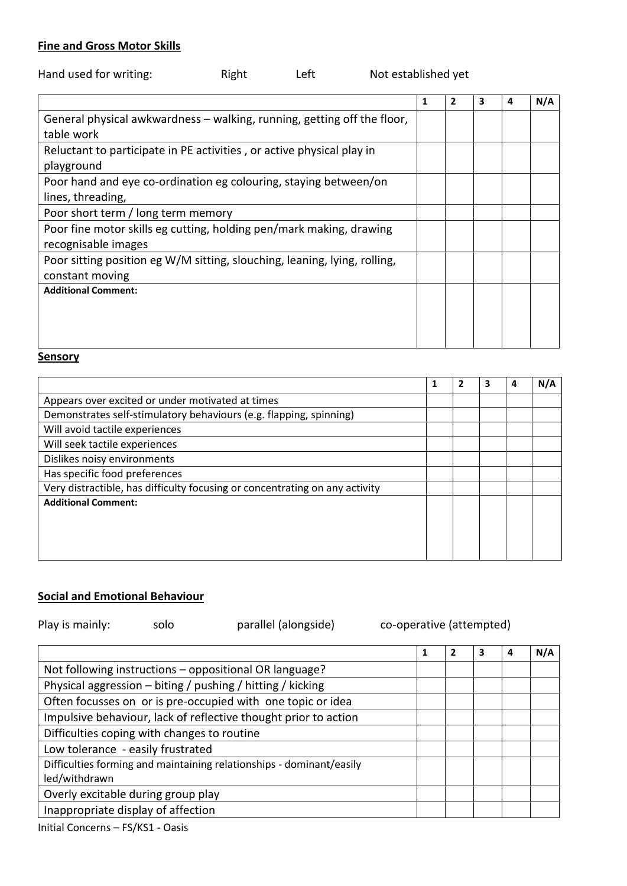#### **Fine and Gross Motor Skills**

| Hand used for writing: | Right | Left | Not established yet |
|------------------------|-------|------|---------------------|
|------------------------|-------|------|---------------------|

|                                                                           | 1 | $\mathbf{2}$ | 3 | 4 | N/A |
|---------------------------------------------------------------------------|---|--------------|---|---|-----|
| General physical awkwardness – walking, running, getting off the floor,   |   |              |   |   |     |
| table work                                                                |   |              |   |   |     |
| Reluctant to participate in PE activities, or active physical play in     |   |              |   |   |     |
| playground                                                                |   |              |   |   |     |
| Poor hand and eye co-ordination eg colouring, staying between/on          |   |              |   |   |     |
| lines, threading,                                                         |   |              |   |   |     |
| Poor short term / long term memory                                        |   |              |   |   |     |
| Poor fine motor skills eg cutting, holding pen/mark making, drawing       |   |              |   |   |     |
| recognisable images                                                       |   |              |   |   |     |
| Poor sitting position eg W/M sitting, slouching, leaning, lying, rolling, |   |              |   |   |     |
| constant moving                                                           |   |              |   |   |     |
| <b>Additional Comment:</b>                                                |   |              |   |   |     |
|                                                                           |   |              |   |   |     |
|                                                                           |   |              |   |   |     |
|                                                                           |   |              |   |   |     |

# **Sensory**

|                                                                             |  | 4 | N/A |
|-----------------------------------------------------------------------------|--|---|-----|
| Appears over excited or under motivated at times                            |  |   |     |
| Demonstrates self-stimulatory behaviours (e.g. flapping, spinning)          |  |   |     |
| Will avoid tactile experiences                                              |  |   |     |
| Will seek tactile experiences                                               |  |   |     |
| Dislikes noisy environments                                                 |  |   |     |
| Has specific food preferences                                               |  |   |     |
| Very distractible, has difficulty focusing or concentrating on any activity |  |   |     |
| <b>Additional Comment:</b>                                                  |  |   |     |
|                                                                             |  |   |     |
|                                                                             |  |   |     |
|                                                                             |  |   |     |

# **Social and Emotional Behaviour**

| Play is mainly:                             | solo | parallel (alongside)                                                 | co-operative (attempted) |   |              |   |   |     |
|---------------------------------------------|------|----------------------------------------------------------------------|--------------------------|---|--------------|---|---|-----|
|                                             |      |                                                                      |                          | 1 | $\mathbf{2}$ | 3 | 4 | N/A |
|                                             |      | Not following instructions - oppositional OR language?               |                          |   |              |   |   |     |
|                                             |      | Physical aggression - biting / pushing / hitting / kicking           |                          |   |              |   |   |     |
|                                             |      | Often focusses on or is pre-occupied with one topic or idea          |                          |   |              |   |   |     |
|                                             |      | Impulsive behaviour, lack of reflective thought prior to action      |                          |   |              |   |   |     |
| Difficulties coping with changes to routine |      |                                                                      |                          |   |              |   |   |     |
| Low tolerance - easily frustrated           |      |                                                                      |                          |   |              |   |   |     |
| led/withdrawn                               |      | Difficulties forming and maintaining relationships - dominant/easily |                          |   |              |   |   |     |
| Overly excitable during group play          |      |                                                                      |                          |   |              |   |   |     |
| Inappropriate display of affection          |      |                                                                      |                          |   |              |   |   |     |
|                                             |      |                                                                      |                          |   |              |   |   |     |

Initial Concerns – FS/KS1 - Oasis